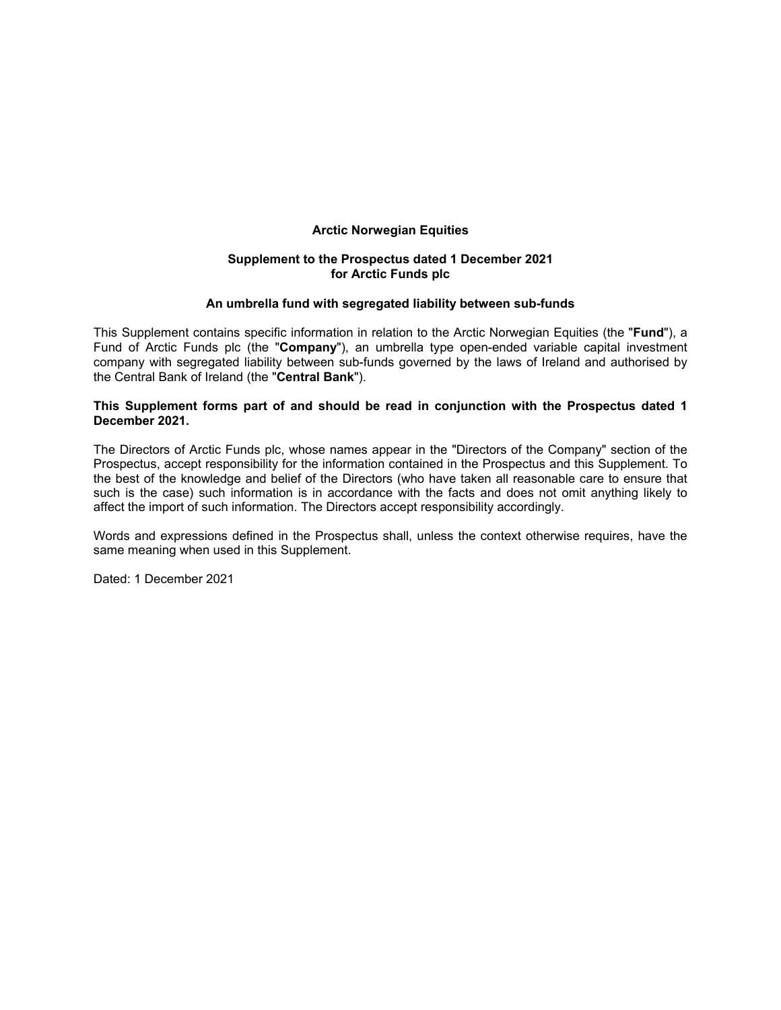# **Arctic Norwegian Equities**

# **Supplement to the Prospectus dated 1 December 2021 for Arctic Funds plc**

### **An umbrella fund with segregated liability between sub-funds**

This Supplement contains specific information in relation to the Arctic Norwegian Equities (the "**Fund**"), a Fund of Arctic Funds plc (the "**Company**"), an umbrella type open-ended variable capital investment company with segregated liability between sub-funds governed by the laws of Ireland and authorised by the Central Bank of Ireland (the "**Central Bank**").

# **This Supplement forms part of and should be read in conjunction with the Prospectus dated 1 December 2021.**

The Directors of Arctic Funds plc, whose names appear in the "Directors of the Company" section of the Prospectus, accept responsibility for the information contained in the Prospectus and this Supplement. To the best of the knowledge and belief of the Directors (who have taken all reasonable care to ensure that such is the case) such information is in accordance with the facts and does not omit anything likely to affect the import of such information. The Directors accept responsibility accordingly.

Words and expressions defined in the Prospectus shall, unless the context otherwise requires, have the same meaning when used in this Supplement.

Dated: 1 December 2021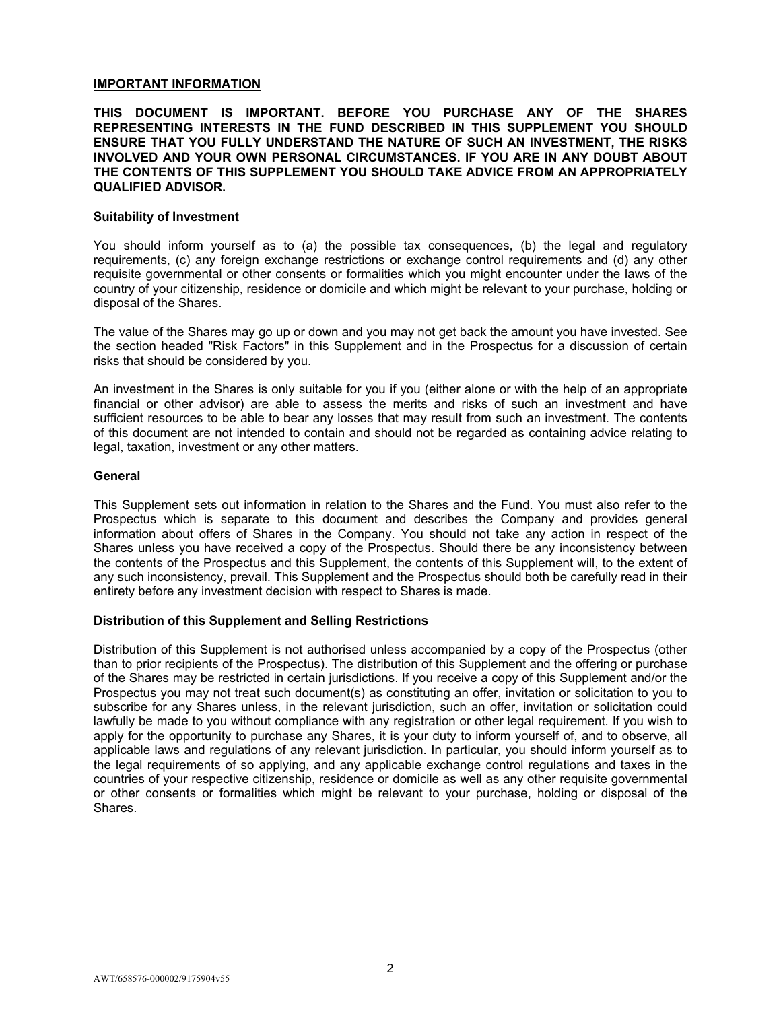# **IMPORTANT INFORMATION**

# **THIS DOCUMENT IS IMPORTANT. BEFORE YOU PURCHASE ANY OF THE SHARES REPRESENTING INTERESTS IN THE FUND DESCRIBED IN THIS SUPPLEMENT YOU SHOULD ENSURE THAT YOU FULLY UNDERSTAND THE NATURE OF SUCH AN INVESTMENT, THE RISKS INVOLVED AND YOUR OWN PERSONAL CIRCUMSTANCES. IF YOU ARE IN ANY DOUBT ABOUT THE CONTENTS OF THIS SUPPLEMENT YOU SHOULD TAKE ADVICE FROM AN APPROPRIATELY QUALIFIED ADVISOR.**

#### **Suitability of Investment**

You should inform yourself as to (a) the possible tax consequences, (b) the legal and regulatory requirements, (c) any foreign exchange restrictions or exchange control requirements and (d) any other requisite governmental or other consents or formalities which you might encounter under the laws of the country of your citizenship, residence or domicile and which might be relevant to your purchase, holding or disposal of the Shares.

The value of the Shares may go up or down and you may not get back the amount you have invested. See the section headed "Risk Factors" in this Supplement and in the Prospectus for a discussion of certain risks that should be considered by you.

An investment in the Shares is only suitable for you if you (either alone or with the help of an appropriate financial or other advisor) are able to assess the merits and risks of such an investment and have sufficient resources to be able to bear any losses that may result from such an investment. The contents of this document are not intended to contain and should not be regarded as containing advice relating to legal, taxation, investment or any other matters.

### **General**

This Supplement sets out information in relation to the Shares and the Fund. You must also refer to the Prospectus which is separate to this document and describes the Company and provides general information about offers of Shares in the Company. You should not take any action in respect of the Shares unless you have received a copy of the Prospectus. Should there be any inconsistency between the contents of the Prospectus and this Supplement, the contents of this Supplement will, to the extent of any such inconsistency, prevail. This Supplement and the Prospectus should both be carefully read in their entirety before any investment decision with respect to Shares is made.

# **Distribution of this Supplement and Selling Restrictions**

Distribution of this Supplement is not authorised unless accompanied by a copy of the Prospectus (other than to prior recipients of the Prospectus). The distribution of this Supplement and the offering or purchase of the Shares may be restricted in certain jurisdictions. If you receive a copy of this Supplement and/or the Prospectus you may not treat such document(s) as constituting an offer, invitation or solicitation to you to subscribe for any Shares unless, in the relevant jurisdiction, such an offer, invitation or solicitation could lawfully be made to you without compliance with any registration or other legal requirement. If you wish to apply for the opportunity to purchase any Shares, it is your duty to inform yourself of, and to observe, all applicable laws and regulations of any relevant jurisdiction. In particular, you should inform yourself as to the legal requirements of so applying, and any applicable exchange control regulations and taxes in the countries of your respective citizenship, residence or domicile as well as any other requisite governmental or other consents or formalities which might be relevant to your purchase, holding or disposal of the Shares.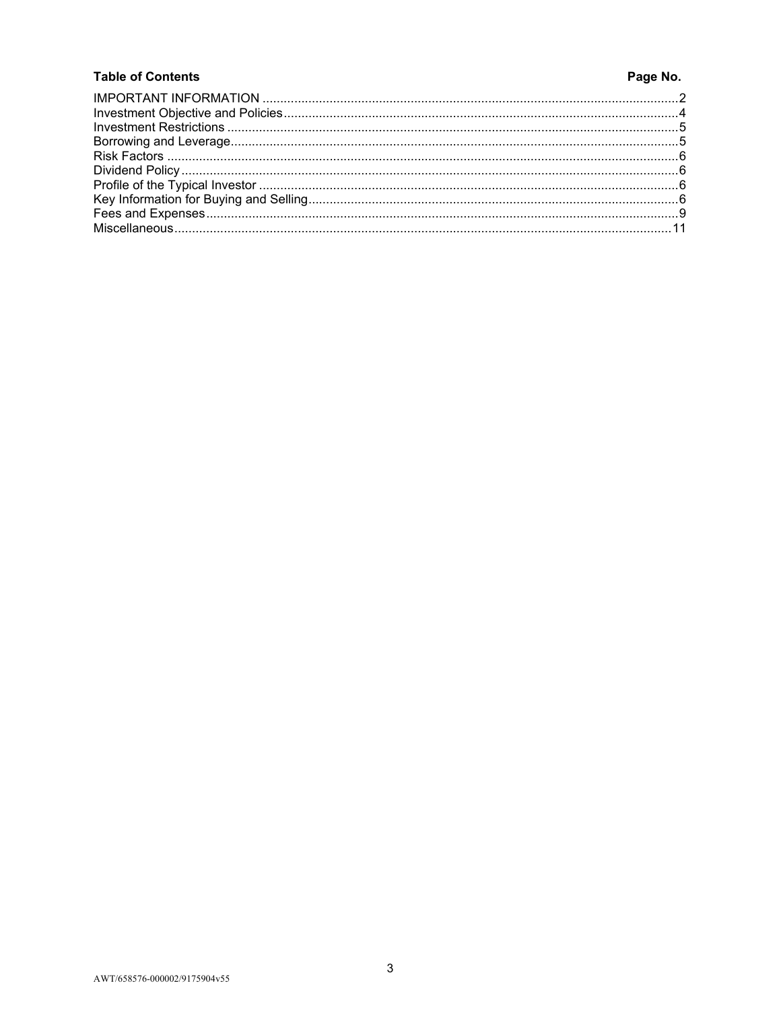# **Table of Contents**

# Page No.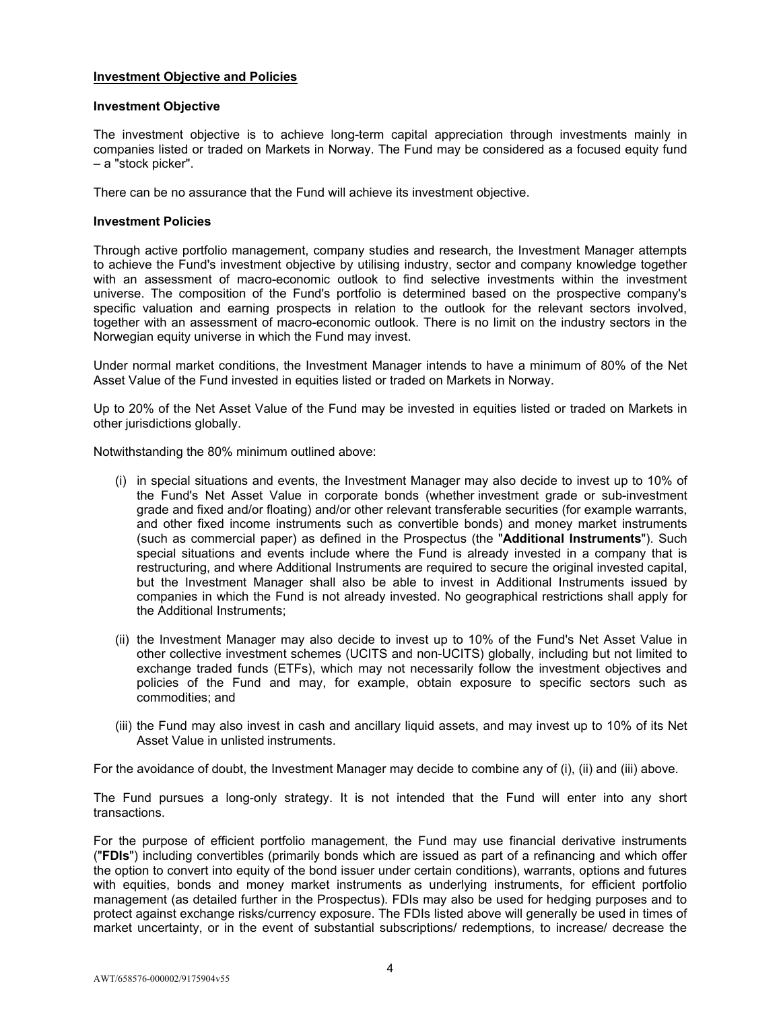# **Investment Objective and Policies**

## **Investment Objective**

The investment objective is to achieve long-term capital appreciation through investments mainly in companies listed or traded on Markets in Norway. The Fund may be considered as a focused equity fund – a "stock picker".

There can be no assurance that the Fund will achieve its investment objective.

## **Investment Policies**

Through active portfolio management, company studies and research, the Investment Manager attempts to achieve the Fund's investment objective by utilising industry, sector and company knowledge together with an assessment of macro-economic outlook to find selective investments within the investment universe. The composition of the Fund's portfolio is determined based on the prospective company's specific valuation and earning prospects in relation to the outlook for the relevant sectors involved, together with an assessment of macro-economic outlook. There is no limit on the industry sectors in the Norwegian equity universe in which the Fund may invest.

Under normal market conditions, the Investment Manager intends to have a minimum of 80% of the Net Asset Value of the Fund invested in equities listed or traded on Markets in Norway.

Up to 20% of the Net Asset Value of the Fund may be invested in equities listed or traded on Markets in other jurisdictions globally.

Notwithstanding the 80% minimum outlined above:

- (i) in special situations and events, the Investment Manager may also decide to invest up to 10% of the Fund's Net Asset Value in corporate bonds (whether investment grade or sub-investment grade and fixed and/or floating) and/or other relevant transferable securities (for example warrants, and other fixed income instruments such as convertible bonds) and money market instruments (such as commercial paper) as defined in the Prospectus (the "**Additional Instruments**"). Such special situations and events include where the Fund is already invested in a company that is restructuring, and where Additional Instruments are required to secure the original invested capital, but the Investment Manager shall also be able to invest in Additional Instruments issued by companies in which the Fund is not already invested. No geographical restrictions shall apply for the Additional Instruments;
- (ii) the Investment Manager may also decide to invest up to 10% of the Fund's Net Asset Value in other collective investment schemes (UCITS and non-UCITS) globally, including but not limited to exchange traded funds (ETFs), which may not necessarily follow the investment objectives and policies of the Fund and may, for example, obtain exposure to specific sectors such as commodities; and
- (iii) the Fund may also invest in cash and ancillary liquid assets, and may invest up to 10% of its Net Asset Value in unlisted instruments.

For the avoidance of doubt, the Investment Manager may decide to combine any of (i), (ii) and (iii) above.

The Fund pursues a long-only strategy. It is not intended that the Fund will enter into any short transactions.

For the purpose of efficient portfolio management, the Fund may use financial derivative instruments ("**FDIs**") including convertibles (primarily bonds which are issued as part of a refinancing and which offer the option to convert into equity of the bond issuer under certain conditions), warrants, options and futures with equities, bonds and money market instruments as underlying instruments, for efficient portfolio management (as detailed further in the Prospectus). FDIs may also be used for hedging purposes and to protect against exchange risks/currency exposure. The FDIs listed above will generally be used in times of market uncertainty, or in the event of substantial subscriptions/ redemptions, to increase/ decrease the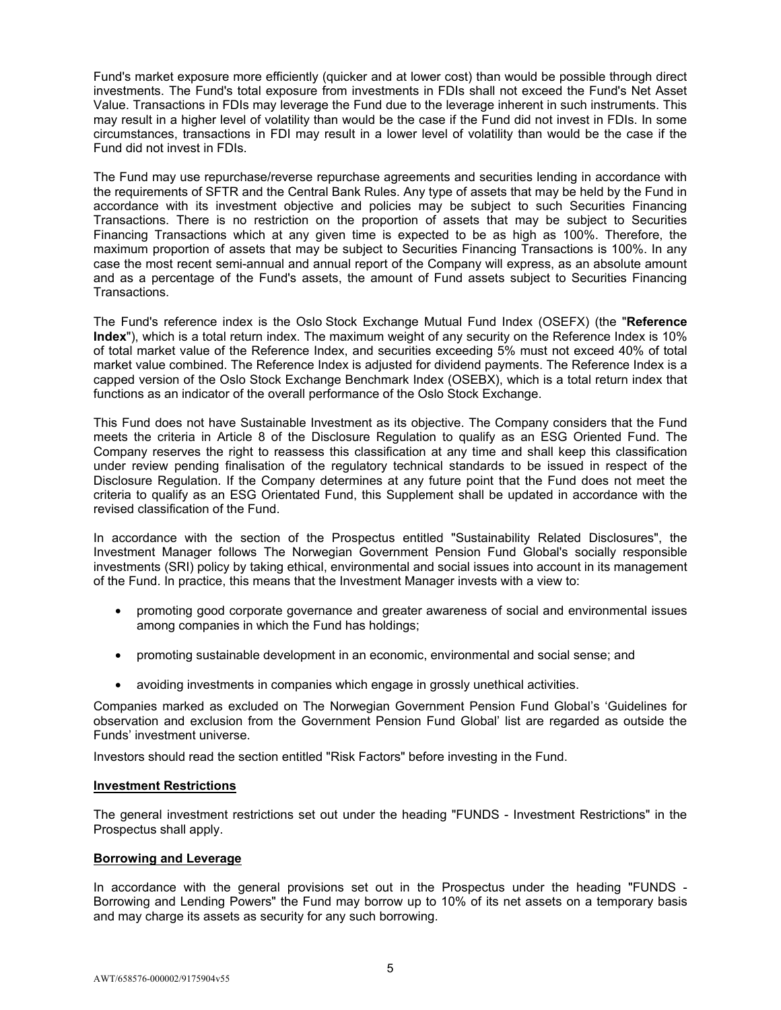Fund's market exposure more efficiently (quicker and at lower cost) than would be possible through direct investments. The Fund's total exposure from investments in FDIs shall not exceed the Fund's Net Asset Value. Transactions in FDIs may leverage the Fund due to the leverage inherent in such instruments. This may result in a higher level of volatility than would be the case if the Fund did not invest in FDIs. In some circumstances, transactions in FDI may result in a lower level of volatility than would be the case if the Fund did not invest in FDIs.

The Fund may use repurchase/reverse repurchase agreements and securities lending in accordance with the requirements of SFTR and the Central Bank Rules. Any type of assets that may be held by the Fund in accordance with its investment objective and policies may be subject to such Securities Financing Transactions. There is no restriction on the proportion of assets that may be subject to Securities Financing Transactions which at any given time is expected to be as high as 100%. Therefore, the maximum proportion of assets that may be subject to Securities Financing Transactions is 100%. In any case the most recent semi-annual and annual report of the Company will express, as an absolute amount and as a percentage of the Fund's assets, the amount of Fund assets subject to Securities Financing Transactions.

The Fund's reference index is the Oslo Stock Exchange Mutual Fund Index (OSEFX) (the "**Reference Index**"), which is a total return index. The maximum weight of any security on the Reference Index is 10% of total market value of the Reference Index, and securities exceeding 5% must not exceed 40% of total market value combined. The Reference Index is adjusted for dividend payments. The Reference Index is a capped version of the Oslo Stock Exchange Benchmark Index (OSEBX), which is a total return index that functions as an indicator of the overall performance of the Oslo Stock Exchange.

This Fund does not have Sustainable Investment as its objective. The Company considers that the Fund meets the criteria in Article 8 of the Disclosure Regulation to qualify as an ESG Oriented Fund. The Company reserves the right to reassess this classification at any time and shall keep this classification under review pending finalisation of the regulatory technical standards to be issued in respect of the Disclosure Regulation. If the Company determines at any future point that the Fund does not meet the criteria to qualify as an ESG Orientated Fund, this Supplement shall be updated in accordance with the revised classification of the Fund.

In accordance with the section of the Prospectus entitled "Sustainability Related Disclosures", the Investment Manager follows The Norwegian Government Pension Fund Global's socially responsible investments (SRI) policy by taking ethical, environmental and social issues into account in its management of the Fund. In practice, this means that the Investment Manager invests with a view to:

- promoting good corporate governance and greater awareness of social and environmental issues among companies in which the Fund has holdings;
- promoting sustainable development in an economic, environmental and social sense; and
- avoiding investments in companies which engage in grossly unethical activities.

Companies marked as excluded on The Norwegian Government Pension Fund Global's 'Guidelines for observation and exclusion from the Government Pension Fund Global' list are regarded as outside the Funds' investment universe.

Investors should read the section entitled "Risk Factors" before investing in the Fund.

# **Investment Restrictions**

The general investment restrictions set out under the heading "FUNDS - Investment Restrictions" in the Prospectus shall apply.

#### **Borrowing and Leverage**

In accordance with the general provisions set out in the Prospectus under the heading "FUNDS - Borrowing and Lending Powers" the Fund may borrow up to 10% of its net assets on a temporary basis and may charge its assets as security for any such borrowing.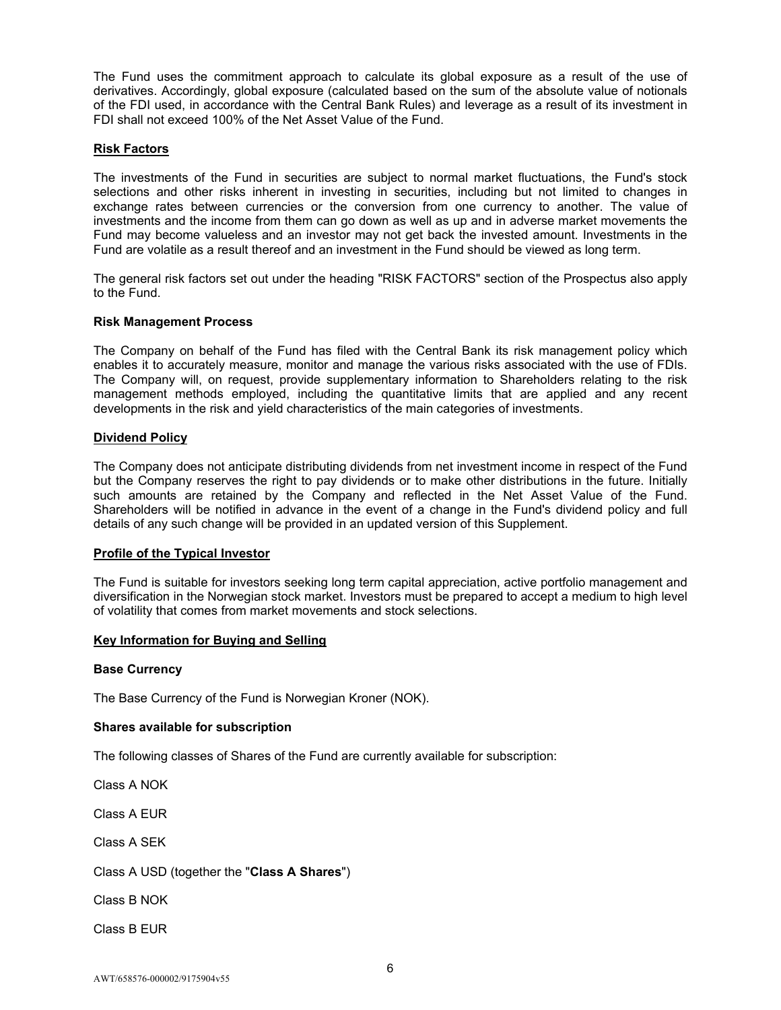The Fund uses the commitment approach to calculate its global exposure as a result of the use of derivatives. Accordingly, global exposure (calculated based on the sum of the absolute value of notionals of the FDI used, in accordance with the Central Bank Rules) and leverage as a result of its investment in FDI shall not exceed 100% of the Net Asset Value of the Fund.

# **Risk Factors**

The investments of the Fund in securities are subject to normal market fluctuations, the Fund's stock selections and other risks inherent in investing in securities, including but not limited to changes in exchange rates between currencies or the conversion from one currency to another. The value of investments and the income from them can go down as well as up and in adverse market movements the Fund may become valueless and an investor may not get back the invested amount. Investments in the Fund are volatile as a result thereof and an investment in the Fund should be viewed as long term.

The general risk factors set out under the heading "RISK FACTORS" section of the Prospectus also apply to the Fund.

### **Risk Management Process**

The Company on behalf of the Fund has filed with the Central Bank its risk management policy which enables it to accurately measure, monitor and manage the various risks associated with the use of FDIs. The Company will, on request, provide supplementary information to Shareholders relating to the risk management methods employed, including the quantitative limits that are applied and any recent developments in the risk and yield characteristics of the main categories of investments.

### **Dividend Policy**

The Company does not anticipate distributing dividends from net investment income in respect of the Fund but the Company reserves the right to pay dividends or to make other distributions in the future. Initially such amounts are retained by the Company and reflected in the Net Asset Value of the Fund. Shareholders will be notified in advance in the event of a change in the Fund's dividend policy and full details of any such change will be provided in an updated version of this Supplement.

# **Profile of the Typical Investor**

The Fund is suitable for investors seeking long term capital appreciation, active portfolio management and diversification in the Norwegian stock market. Investors must be prepared to accept a medium to high level of volatility that comes from market movements and stock selections.

# **Key Information for Buying and Selling**

#### **Base Currency**

The Base Currency of the Fund is Norwegian Kroner (NOK).

#### **Shares available for subscription**

The following classes of Shares of the Fund are currently available for subscription:

Class A NOK

Class A EUR

Class A SEK

Class A USD (together the "**Class A Shares**")

Class B NOK

Class B EUR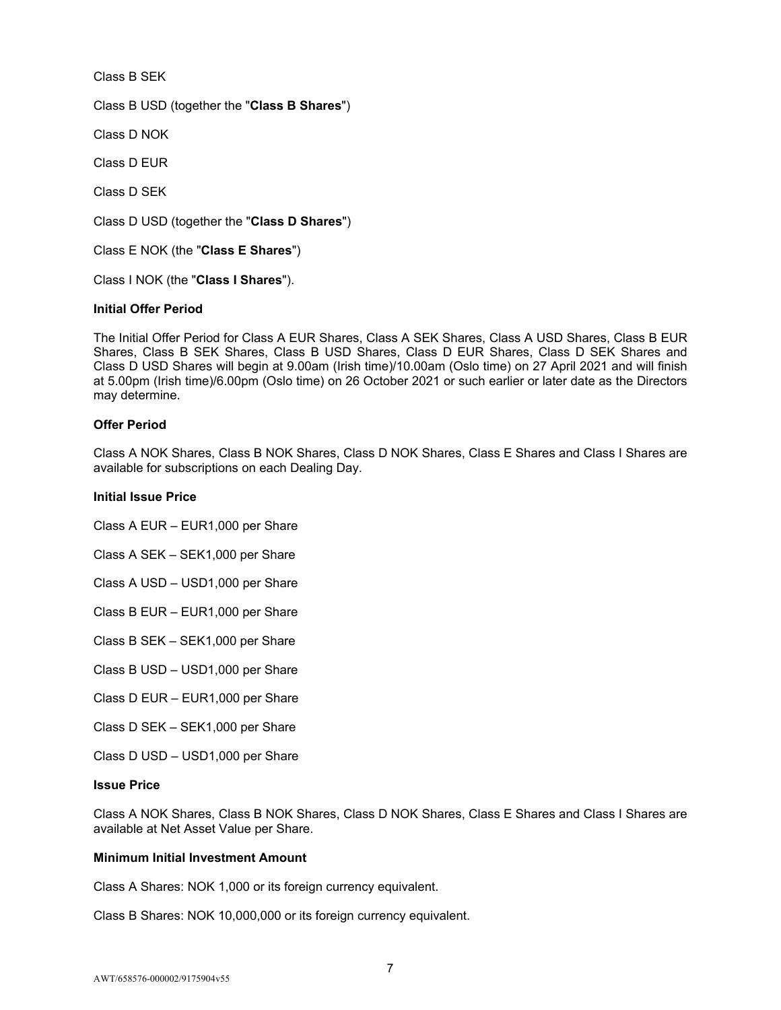Class B SEK Class B USD (together the "**Class B Shares**") Class D NOK Class D EUR Class D SEK Class D USD (together the "**Class D Shares**") Class E NOK (the "**Class E Shares**")

Class I NOK (the "**Class I Shares**").

# **Initial Offer Period**

The Initial Offer Period for Class A EUR Shares, Class A SEK Shares, Class A USD Shares, Class B EUR Shares, Class B SEK Shares, Class B USD Shares, Class D EUR Shares, Class D SEK Shares and Class D USD Shares will begin at 9.00am (Irish time)/10.00am (Oslo time) on 27 April 2021 and will finish at 5.00pm (Irish time)/6.00pm (Oslo time) on 26 October 2021 or such earlier or later date as the Directors may determine.

#### **Offer Period**

Class A NOK Shares, Class B NOK Shares, Class D NOK Shares, Class E Shares and Class I Shares are available for subscriptions on each Dealing Day.

#### **Initial Issue Price**

Class A EUR – EUR1,000 per Share

Class A SEK – SEK1,000 per Share

Class A USD – USD1,000 per Share

Class B EUR – EUR1,000 per Share

Class B SEK – SEK1,000 per Share

Class B USD – USD1,000 per Share

Class D EUR – EUR1,000 per Share

Class D SEK – SEK1,000 per Share

Class D USD – USD1,000 per Share

# **Issue Price**

Class A NOK Shares, Class B NOK Shares, Class D NOK Shares, Class E Shares and Class I Shares are available at Net Asset Value per Share.

#### **Minimum Initial Investment Amount**

Class A Shares: NOK 1,000 or its foreign currency equivalent.

Class B Shares: NOK 10,000,000 or its foreign currency equivalent.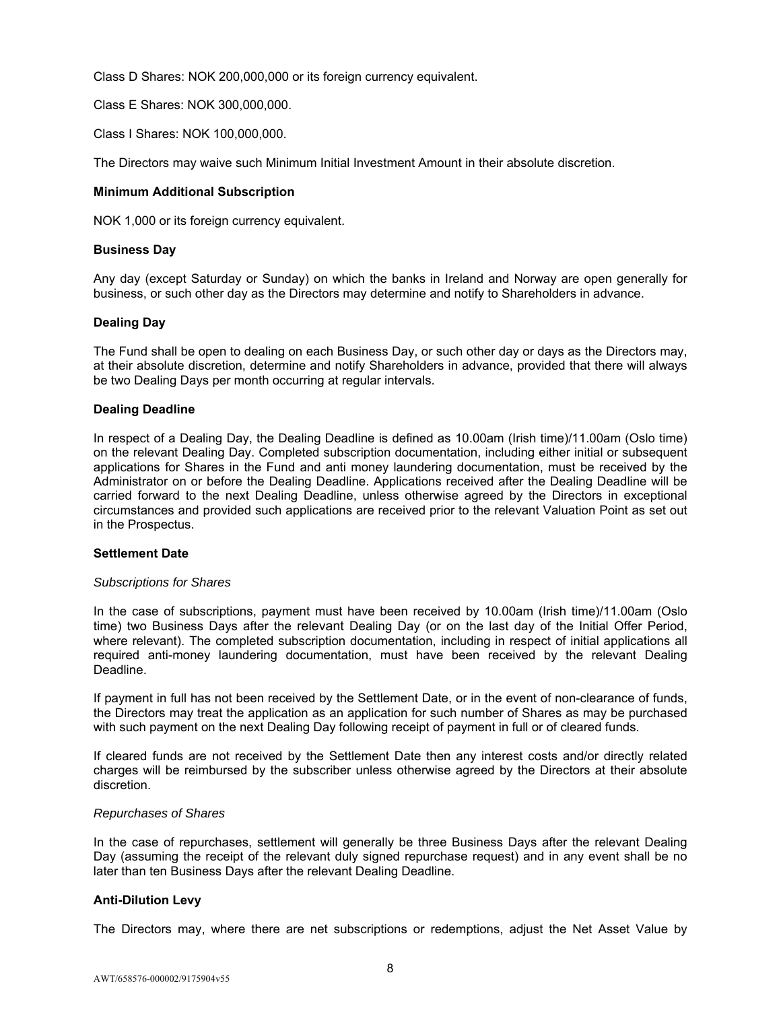Class D Shares: NOK 200,000,000 or its foreign currency equivalent.

Class E Shares: NOK 300,000,000.

Class I Shares: NOK 100,000,000.

The Directors may waive such Minimum Initial Investment Amount in their absolute discretion.

### **Minimum Additional Subscription**

NOK 1,000 or its foreign currency equivalent.

## **Business Day**

Any day (except Saturday or Sunday) on which the banks in Ireland and Norway are open generally for business, or such other day as the Directors may determine and notify to Shareholders in advance.

### **Dealing Day**

The Fund shall be open to dealing on each Business Day, or such other day or days as the Directors may, at their absolute discretion, determine and notify Shareholders in advance, provided that there will always be two Dealing Days per month occurring at regular intervals.

### **Dealing Deadline**

In respect of a Dealing Day, the Dealing Deadline is defined as 10.00am (Irish time)/11.00am (Oslo time) on the relevant Dealing Day. Completed subscription documentation, including either initial or subsequent applications for Shares in the Fund and anti money laundering documentation, must be received by the Administrator on or before the Dealing Deadline. Applications received after the Dealing Deadline will be carried forward to the next Dealing Deadline, unless otherwise agreed by the Directors in exceptional circumstances and provided such applications are received prior to the relevant Valuation Point as set out in the Prospectus.

#### **Settlement Date**

#### *Subscriptions for Shares*

In the case of subscriptions, payment must have been received by 10.00am (Irish time)/11.00am (Oslo time) two Business Days after the relevant Dealing Day (or on the last day of the Initial Offer Period, where relevant). The completed subscription documentation, including in respect of initial applications all required anti-money laundering documentation, must have been received by the relevant Dealing Deadline.

If payment in full has not been received by the Settlement Date, or in the event of non-clearance of funds, the Directors may treat the application as an application for such number of Shares as may be purchased with such payment on the next Dealing Day following receipt of payment in full or of cleared funds.

If cleared funds are not received by the Settlement Date then any interest costs and/or directly related charges will be reimbursed by the subscriber unless otherwise agreed by the Directors at their absolute discretion.

#### *Repurchases of Shares*

In the case of repurchases, settlement will generally be three Business Days after the relevant Dealing Day (assuming the receipt of the relevant duly signed repurchase request) and in any event shall be no later than ten Business Days after the relevant Dealing Deadline.

#### **Anti-Dilution Levy**

The Directors may, where there are net subscriptions or redemptions, adjust the Net Asset Value by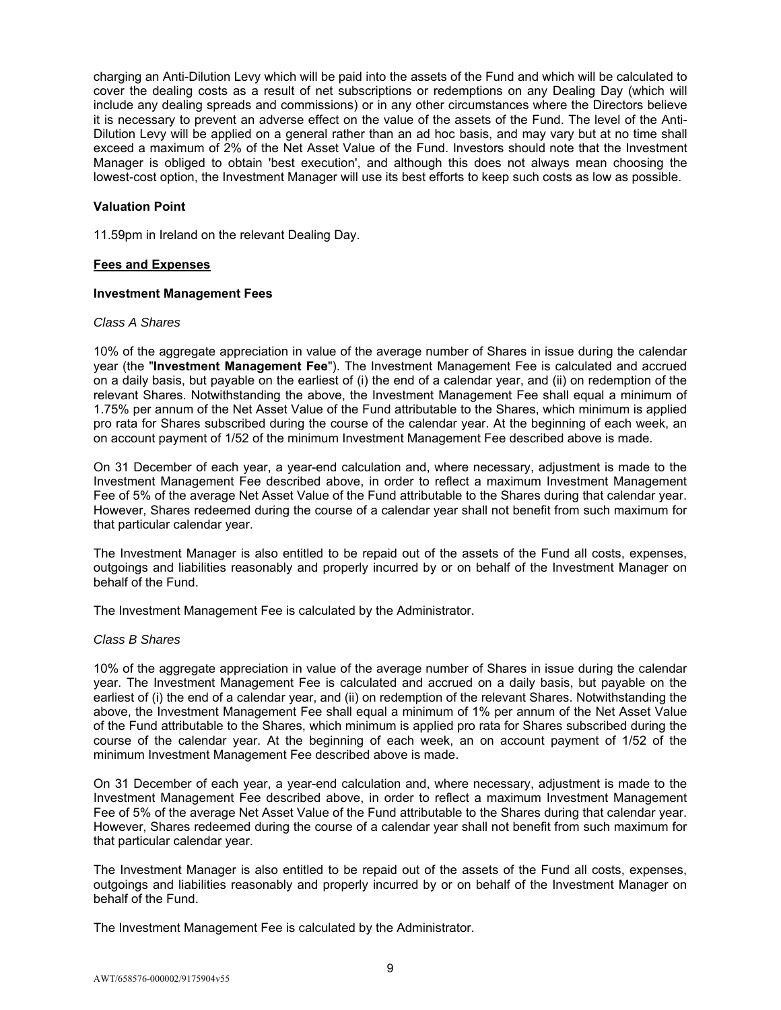charging an Anti-Dilution Levy which will be paid into the assets of the Fund and which will be calculated to cover the dealing costs as a result of net subscriptions or redemptions on any Dealing Day (which will include any dealing spreads and commissions) or in any other circumstances where the Directors believe it is necessary to prevent an adverse effect on the value of the assets of the Fund. The level of the Anti-Dilution Levy will be applied on a general rather than an ad hoc basis, and may vary but at no time shall exceed a maximum of 2% of the Net Asset Value of the Fund. Investors should note that the Investment Manager is obliged to obtain 'best execution', and although this does not always mean choosing the lowest-cost option, the Investment Manager will use its best efforts to keep such costs as low as possible.

## **Valuation Point**

11.59pm in Ireland on the relevant Dealing Day.

### **Fees and Expenses**

#### **Investment Management Fees**

#### *Class A Shares*

10% of the aggregate appreciation in value of the average number of Shares in issue during the calendar year (the "**Investment Management Fee**"). The Investment Management Fee is calculated and accrued on a daily basis, but payable on the earliest of (i) the end of a calendar year, and (ii) on redemption of the relevant Shares. Notwithstanding the above, the Investment Management Fee shall equal a minimum of 1.75% per annum of the Net Asset Value of the Fund attributable to the Shares, which minimum is applied pro rata for Shares subscribed during the course of the calendar year. At the beginning of each week, an on account payment of 1/52 of the minimum Investment Management Fee described above is made.

On 31 December of each year, a year-end calculation and, where necessary, adjustment is made to the Investment Management Fee described above, in order to reflect a maximum Investment Management Fee of 5% of the average Net Asset Value of the Fund attributable to the Shares during that calendar year. However, Shares redeemed during the course of a calendar year shall not benefit from such maximum for that particular calendar year.

The Investment Manager is also entitled to be repaid out of the assets of the Fund all costs, expenses, outgoings and liabilities reasonably and properly incurred by or on behalf of the Investment Manager on behalf of the Fund.

The Investment Management Fee is calculated by the Administrator.

# *Class B Shares*

10% of the aggregate appreciation in value of the average number of Shares in issue during the calendar year. The Investment Management Fee is calculated and accrued on a daily basis, but payable on the earliest of (i) the end of a calendar year, and (ii) on redemption of the relevant Shares. Notwithstanding the above, the Investment Management Fee shall equal a minimum of 1% per annum of the Net Asset Value of the Fund attributable to the Shares, which minimum is applied pro rata for Shares subscribed during the course of the calendar year. At the beginning of each week, an on account payment of 1/52 of the minimum Investment Management Fee described above is made.

On 31 December of each year, a year-end calculation and, where necessary, adjustment is made to the Investment Management Fee described above, in order to reflect a maximum Investment Management Fee of 5% of the average Net Asset Value of the Fund attributable to the Shares during that calendar year. However, Shares redeemed during the course of a calendar year shall not benefit from such maximum for that particular calendar year.

The Investment Manager is also entitled to be repaid out of the assets of the Fund all costs, expenses, outgoings and liabilities reasonably and properly incurred by or on behalf of the Investment Manager on behalf of the Fund.

The Investment Management Fee is calculated by the Administrator.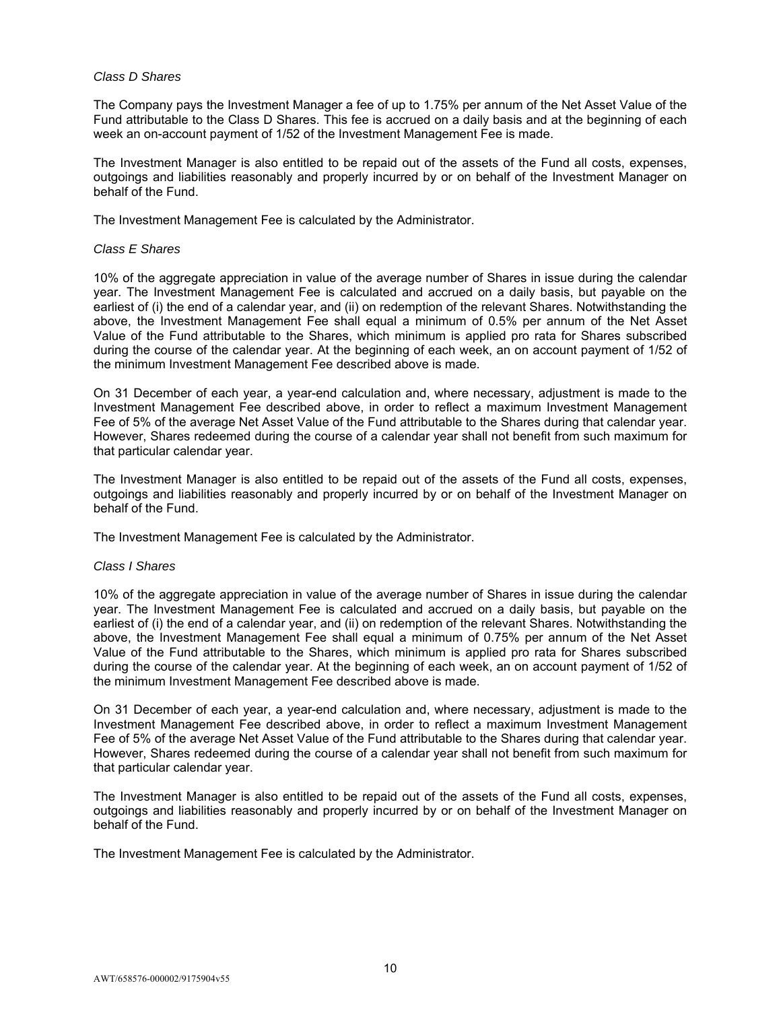## *Class D Shares*

The Company pays the Investment Manager a fee of up to 1.75% per annum of the Net Asset Value of the Fund attributable to the Class D Shares. This fee is accrued on a daily basis and at the beginning of each week an on-account payment of 1/52 of the Investment Management Fee is made.

The Investment Manager is also entitled to be repaid out of the assets of the Fund all costs, expenses, outgoings and liabilities reasonably and properly incurred by or on behalf of the Investment Manager on behalf of the Fund.

The Investment Management Fee is calculated by the Administrator.

### *Class E Shares*

10% of the aggregate appreciation in value of the average number of Shares in issue during the calendar year. The Investment Management Fee is calculated and accrued on a daily basis, but payable on the earliest of (i) the end of a calendar year, and (ii) on redemption of the relevant Shares. Notwithstanding the above, the Investment Management Fee shall equal a minimum of 0.5% per annum of the Net Asset Value of the Fund attributable to the Shares, which minimum is applied pro rata for Shares subscribed during the course of the calendar year. At the beginning of each week, an on account payment of 1/52 of the minimum Investment Management Fee described above is made.

On 31 December of each year, a year-end calculation and, where necessary, adjustment is made to the Investment Management Fee described above, in order to reflect a maximum Investment Management Fee of 5% of the average Net Asset Value of the Fund attributable to the Shares during that calendar year. However, Shares redeemed during the course of a calendar year shall not benefit from such maximum for that particular calendar year.

The Investment Manager is also entitled to be repaid out of the assets of the Fund all costs, expenses, outgoings and liabilities reasonably and properly incurred by or on behalf of the Investment Manager on behalf of the Fund.

The Investment Management Fee is calculated by the Administrator.

# *Class I Shares*

10% of the aggregate appreciation in value of the average number of Shares in issue during the calendar year. The Investment Management Fee is calculated and accrued on a daily basis, but payable on the earliest of (i) the end of a calendar year, and (ii) on redemption of the relevant Shares. Notwithstanding the above, the Investment Management Fee shall equal a minimum of 0.75% per annum of the Net Asset Value of the Fund attributable to the Shares, which minimum is applied pro rata for Shares subscribed during the course of the calendar year. At the beginning of each week, an on account payment of 1/52 of the minimum Investment Management Fee described above is made.

On 31 December of each year, a year-end calculation and, where necessary, adjustment is made to the Investment Management Fee described above, in order to reflect a maximum Investment Management Fee of 5% of the average Net Asset Value of the Fund attributable to the Shares during that calendar year. However, Shares redeemed during the course of a calendar year shall not benefit from such maximum for that particular calendar year.

The Investment Manager is also entitled to be repaid out of the assets of the Fund all costs, expenses, outgoings and liabilities reasonably and properly incurred by or on behalf of the Investment Manager on behalf of the Fund.

The Investment Management Fee is calculated by the Administrator.